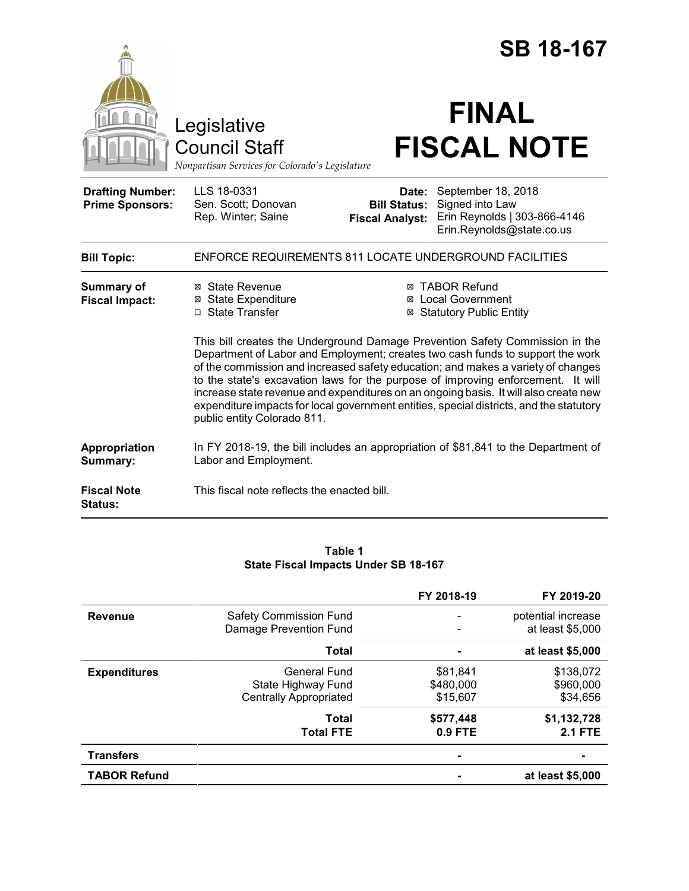|                                                   |                                                                                                                                                                                                                                                                                                                                                                                                                                                                                                                                                                                                                                                                                                    |                                                        | <b>SB 18-167</b>                                                                                   |  |
|---------------------------------------------------|----------------------------------------------------------------------------------------------------------------------------------------------------------------------------------------------------------------------------------------------------------------------------------------------------------------------------------------------------------------------------------------------------------------------------------------------------------------------------------------------------------------------------------------------------------------------------------------------------------------------------------------------------------------------------------------------------|--------------------------------------------------------|----------------------------------------------------------------------------------------------------|--|
|                                                   | Legislative<br><b>Council Staff</b><br>Nonpartisan Services for Colorado's Legislature                                                                                                                                                                                                                                                                                                                                                                                                                                                                                                                                                                                                             |                                                        | <b>FINAL</b><br><b>FISCAL NOTE</b>                                                                 |  |
| <b>Drafting Number:</b><br><b>Prime Sponsors:</b> | LLS 18-0331<br>Sen. Scott; Donovan<br>Rep. Winter; Saine                                                                                                                                                                                                                                                                                                                                                                                                                                                                                                                                                                                                                                           | Date:<br><b>Bill Status:</b><br><b>Fiscal Analyst:</b> | September 18, 2018<br>Signed into Law<br>Erin Reynolds   303-866-4146<br>Erin.Reynolds@state.co.us |  |
| <b>Bill Topic:</b>                                |                                                                                                                                                                                                                                                                                                                                                                                                                                                                                                                                                                                                                                                                                                    |                                                        | <b>ENFORCE REQUIREMENTS 811 LOCATE UNDERGROUND FACILITIES</b>                                      |  |
| <b>Summary of</b><br><b>Fiscal Impact:</b>        | ⊠ State Revenue<br>⊠ TABOR Refund<br>⊠ State Expenditure<br>⊠ Local Government<br>□ State Transfer<br><b>⊠ Statutory Public Entity</b><br>This bill creates the Underground Damage Prevention Safety Commission in the<br>Department of Labor and Employment; creates two cash funds to support the work<br>of the commission and increased safety education; and makes a variety of changes<br>to the state's excavation laws for the purpose of improving enforcement. It will<br>increase state revenue and expenditures on an ongoing basis. It will also create new<br>expenditure impacts for local government entities, special districts, and the statutory<br>public entity Colorado 811. |                                                        |                                                                                                    |  |
| <b>Appropriation</b><br>Summary:                  | Labor and Employment.                                                                                                                                                                                                                                                                                                                                                                                                                                                                                                                                                                                                                                                                              |                                                        | In FY 2018-19, the bill includes an appropriation of \$81,841 to the Department of                 |  |
| <b>Fiscal Note</b><br><b>Status:</b>              | This fiscal note reflects the enacted bill.                                                                                                                                                                                                                                                                                                                                                                                                                                                                                                                                                                                                                                                        |                                                        |                                                                                                    |  |

### **Table 1 State Fiscal Impacts Under SB 18-167**

|                     |                                                                     | FY 2018-19                        | FY 2019-20                             |
|---------------------|---------------------------------------------------------------------|-----------------------------------|----------------------------------------|
| <b>Revenue</b>      | <b>Safety Commission Fund</b><br>Damage Prevention Fund             |                                   | potential increase<br>at least \$5,000 |
|                     | <b>Total</b>                                                        |                                   | at least \$5,000                       |
| <b>Expenditures</b> | General Fund<br>State Highway Fund<br><b>Centrally Appropriated</b> | \$81,841<br>\$480,000<br>\$15,607 | \$138,072<br>\$960,000<br>\$34,656     |
|                     | <b>Total</b><br><b>Total FTE</b>                                    | \$577,448<br>$0.9$ FTE            | \$1,132,728<br><b>2.1 FTE</b>          |
| <b>Transfers</b>    |                                                                     | -                                 |                                        |
| <b>TABOR Refund</b> |                                                                     |                                   | at least \$5,000                       |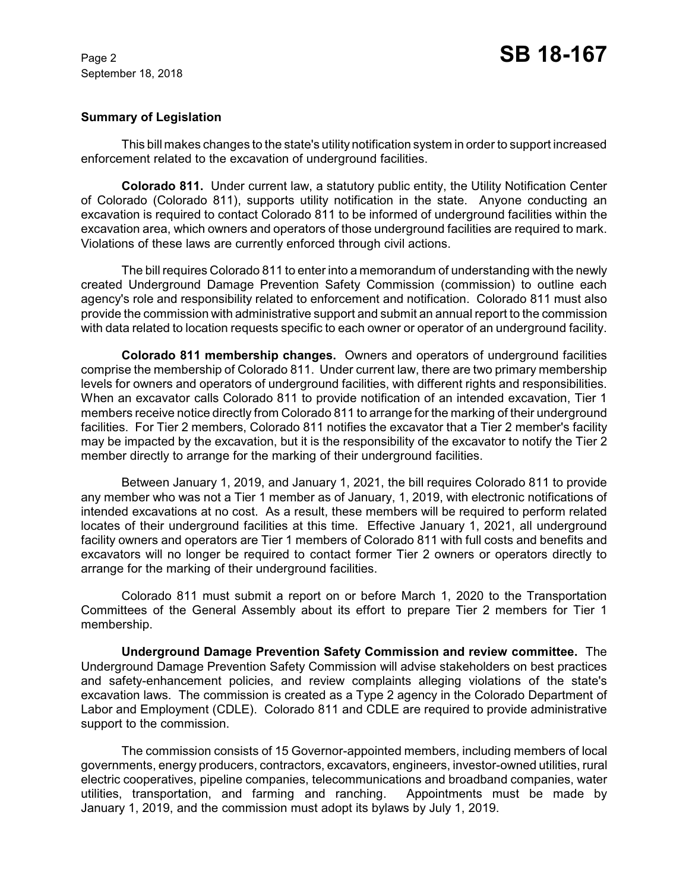## **Summary of Legislation**

This bill makes changes to the state's utility notification system in order to support increased enforcement related to the excavation of underground facilities.

**Colorado 811.** Under current law, a statutory public entity, the Utility Notification Center of Colorado (Colorado 811), supports utility notification in the state. Anyone conducting an excavation is required to contact Colorado 811 to be informed of underground facilities within the excavation area, which owners and operators of those underground facilities are required to mark. Violations of these laws are currently enforced through civil actions.

The bill requires Colorado 811 to enter into a memorandum of understanding with the newly created Underground Damage Prevention Safety Commission (commission) to outline each agency's role and responsibility related to enforcement and notification. Colorado 811 must also provide the commission with administrative support and submit an annual report to the commission with data related to location requests specific to each owner or operator of an underground facility.

**Colorado 811 membership changes.** Owners and operators of underground facilities comprise the membership of Colorado 811. Under current law, there are two primary membership levels for owners and operators of underground facilities, with different rights and responsibilities. When an excavator calls Colorado 811 to provide notification of an intended excavation, Tier 1 members receive notice directly from Colorado 811 to arrange for the marking of their underground facilities. For Tier 2 members, Colorado 811 notifies the excavator that a Tier 2 member's facility may be impacted by the excavation, but it is the responsibility of the excavator to notify the Tier 2 member directly to arrange for the marking of their underground facilities.

Between January 1, 2019, and January 1, 2021, the bill requires Colorado 811 to provide any member who was not a Tier 1 member as of January, 1, 2019, with electronic notifications of intended excavations at no cost. As a result, these members will be required to perform related locates of their underground facilities at this time. Effective January 1, 2021, all underground facility owners and operators are Tier 1 members of Colorado 811 with full costs and benefits and excavators will no longer be required to contact former Tier 2 owners or operators directly to arrange for the marking of their underground facilities.

Colorado 811 must submit a report on or before March 1, 2020 to the Transportation Committees of the General Assembly about its effort to prepare Tier 2 members for Tier 1 membership.

**Underground Damage Prevention Safety Commission and review committee.** The Underground Damage Prevention Safety Commission will advise stakeholders on best practices and safety-enhancement policies, and review complaints alleging violations of the state's excavation laws. The commission is created as a Type 2 agency in the Colorado Department of Labor and Employment (CDLE). Colorado 811 and CDLE are required to provide administrative support to the commission.

The commission consists of 15 Governor-appointed members, including members of local governments, energy producers, contractors, excavators, engineers, investor-owned utilities, rural electric cooperatives, pipeline companies, telecommunications and broadband companies, water utilities, transportation, and farming and ranching. Appointments must be made by January 1, 2019, and the commission must adopt its bylaws by July 1, 2019.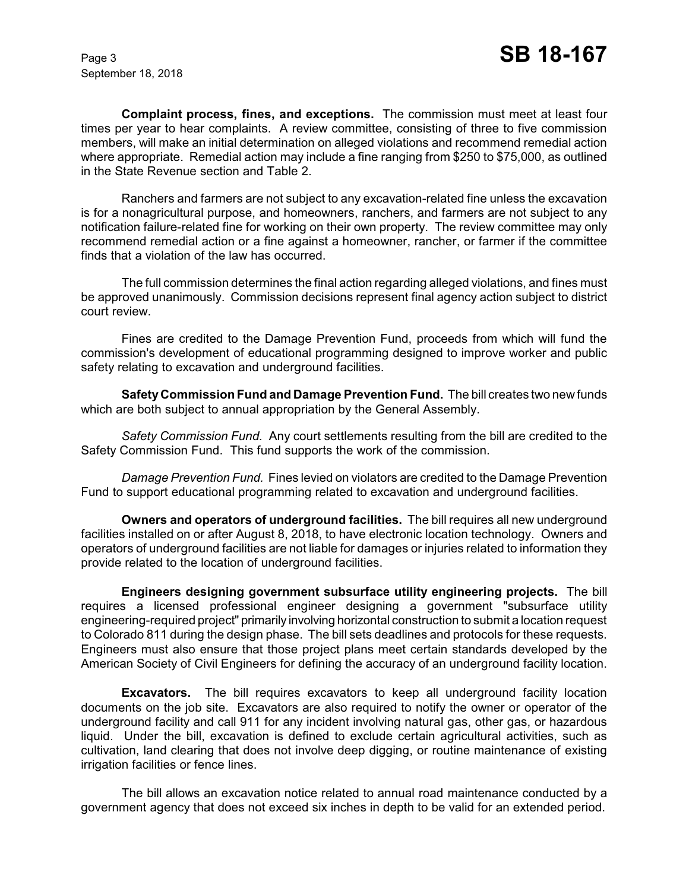**Complaint process, fines, and exceptions.** The commission must meet at least four times per year to hear complaints. A review committee, consisting of three to five commission members, will make an initial determination on alleged violations and recommend remedial action where appropriate. Remedial action may include a fine ranging from \$250 to \$75,000, as outlined in the State Revenue section and Table 2.

Ranchers and farmers are not subject to any excavation-related fine unless the excavation is for a nonagricultural purpose, and homeowners, ranchers, and farmers are not subject to any notification failure-related fine for working on their own property. The review committee may only recommend remedial action or a fine against a homeowner, rancher, or farmer if the committee finds that a violation of the law has occurred.

The full commission determines the final action regarding alleged violations, and fines must be approved unanimously. Commission decisions represent final agency action subject to district court review.

Fines are credited to the Damage Prevention Fund, proceeds from which will fund the commission's development of educational programming designed to improve worker and public safety relating to excavation and underground facilities.

**SafetyCommission Fund and Damage Prevention Fund.** The bill creates two new funds which are both subject to annual appropriation by the General Assembly.

*Safety Commission Fund.* Any court settlements resulting from the bill are credited to the Safety Commission Fund. This fund supports the work of the commission.

*Damage Prevention Fund.* Fines levied on violators are credited to the Damage Prevention Fund to support educational programming related to excavation and underground facilities.

**Owners and operators of underground facilities.** The bill requires all new underground facilities installed on or after August 8, 2018, to have electronic location technology. Owners and operators of underground facilities are not liable for damages or injuries related to information they provide related to the location of underground facilities.

**Engineers designing government subsurface utility engineering projects.** The bill requires a licensed professional engineer designing a government "subsurface utility engineering-required project" primarily involving horizontal construction to submit a location request to Colorado 811 during the design phase. The bill sets deadlines and protocols for these requests. Engineers must also ensure that those project plans meet certain standards developed by the American Society of Civil Engineers for defining the accuracy of an underground facility location.

**Excavators.** The bill requires excavators to keep all underground facility location documents on the job site. Excavators are also required to notify the owner or operator of the underground facility and call 911 for any incident involving natural gas, other gas, or hazardous liquid. Under the bill, excavation is defined to exclude certain agricultural activities, such as cultivation, land clearing that does not involve deep digging, or routine maintenance of existing irrigation facilities or fence lines.

The bill allows an excavation notice related to annual road maintenance conducted by a government agency that does not exceed six inches in depth to be valid for an extended period.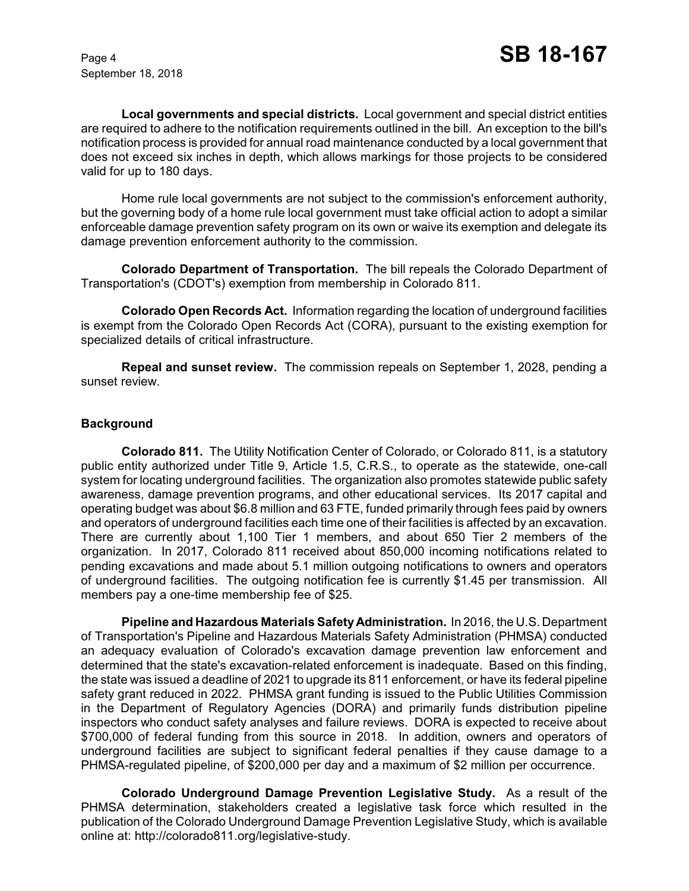**Local governments and special districts.** Local government and special district entities are required to adhere to the notification requirements outlined in the bill. An exception to the bill's notification process is provided for annual road maintenance conducted by a local government that does not exceed six inches in depth, which allows markings for those projects to be considered valid for up to 180 days.

Home rule local governments are not subject to the commission's enforcement authority, but the governing body of a home rule local government must take official action to adopt a similar enforceable damage prevention safety program on its own or waive its exemption and delegate its damage prevention enforcement authority to the commission.

**Colorado Department of Transportation.** The bill repeals the Colorado Department of Transportation's (CDOT's) exemption from membership in Colorado 811.

**Colorado Open Records Act.** Information regarding the location of underground facilities is exempt from the Colorado Open Records Act (CORA), pursuant to the existing exemption for specialized details of critical infrastructure.

**Repeal and sunset review.** The commission repeals on September 1, 2028, pending a sunset review.

### **Background**

**Colorado 811.** The Utility Notification Center of Colorado, or Colorado 811, is a statutory public entity authorized under Title 9, Article 1.5, C.R.S., to operate as the statewide, one-call system for locating underground facilities. The organization also promotes statewide public safety awareness, damage prevention programs, and other educational services. Its 2017 capital and operating budget was about \$6.8 million and 63 FTE, funded primarily through fees paid by owners and operators of underground facilities each time one of their facilities is affected by an excavation. There are currently about 1,100 Tier 1 members, and about 650 Tier 2 members of the organization. In 2017, Colorado 811 received about 850,000 incoming notifications related to pending excavations and made about 5.1 million outgoing notifications to owners and operators of underground facilities. The outgoing notification fee is currently \$1.45 per transmission. All members pay a one-time membership fee of \$25.

**Pipeline and Hazardous Materials SafetyAdministration.** In 2016, the U.S. Department of Transportation's Pipeline and Hazardous Materials Safety Administration (PHMSA) conducted an adequacy evaluation of Colorado's excavation damage prevention law enforcement and determined that the state's excavation-related enforcement is inadequate. Based on this finding, the state was issued a deadline of 2021 to upgrade its 811 enforcement, or have its federal pipeline safety grant reduced in 2022. PHMSA grant funding is issued to the Public Utilities Commission in the Department of Regulatory Agencies (DORA) and primarily funds distribution pipeline inspectors who conduct safety analyses and failure reviews. DORA is expected to receive about \$700,000 of federal funding from this source in 2018. In addition, owners and operators of underground facilities are subject to significant federal penalties if they cause damage to a PHMSA-regulated pipeline, of \$200,000 per day and a maximum of \$2 million per occurrence.

**Colorado Underground Damage Prevention Legislative Study.** As a result of the PHMSA determination, stakeholders created a legislative task force which resulted in the publication of the Colorado Underground Damage Prevention Legislative Study, which is available online at: http://colorado811.org/legislative-study.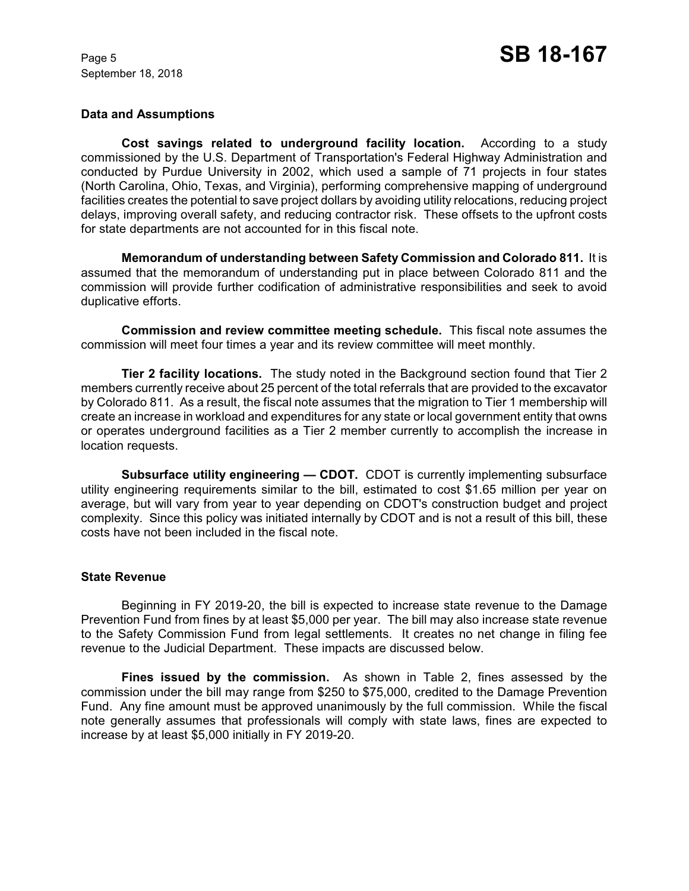#### **Data and Assumptions**

**Cost savings related to underground facility location.** According to a study commissioned by the U.S. Department of Transportation's Federal Highway Administration and conducted by Purdue University in 2002, which used a sample of 71 projects in four states (North Carolina, Ohio, Texas, and Virginia), performing comprehensive mapping of underground facilities creates the potential to save project dollars by avoiding utility relocations, reducing project delays, improving overall safety, and reducing contractor risk. These offsets to the upfront costs for state departments are not accounted for in this fiscal note.

**Memorandum of understanding between Safety Commission and Colorado 811.** It is assumed that the memorandum of understanding put in place between Colorado 811 and the commission will provide further codification of administrative responsibilities and seek to avoid duplicative efforts.

**Commission and review committee meeting schedule.** This fiscal note assumes the commission will meet four times a year and its review committee will meet monthly.

**Tier 2 facility locations.** The study noted in the Background section found that Tier 2 members currently receive about 25 percent of the total referrals that are provided to the excavator by Colorado 811. As a result, the fiscal note assumes that the migration to Tier 1 membership will create an increase in workload and expenditures for any state or local government entity that owns or operates underground facilities as a Tier 2 member currently to accomplish the increase in location requests.

**Subsurface utility engineering — CDOT.** CDOT is currently implementing subsurface utility engineering requirements similar to the bill, estimated to cost \$1.65 million per year on average, but will vary from year to year depending on CDOT's construction budget and project complexity. Since this policy was initiated internally by CDOT and is not a result of this bill, these costs have not been included in the fiscal note.

#### **State Revenue**

Beginning in FY 2019-20, the bill is expected to increase state revenue to the Damage Prevention Fund from fines by at least \$5,000 per year. The bill may also increase state revenue to the Safety Commission Fund from legal settlements. It creates no net change in filing fee revenue to the Judicial Department. These impacts are discussed below.

**Fines issued by the commission.** As shown in Table 2, fines assessed by the commission under the bill may range from \$250 to \$75,000, credited to the Damage Prevention Fund. Any fine amount must be approved unanimously by the full commission. While the fiscal note generally assumes that professionals will comply with state laws, fines are expected to increase by at least \$5,000 initially in FY 2019-20.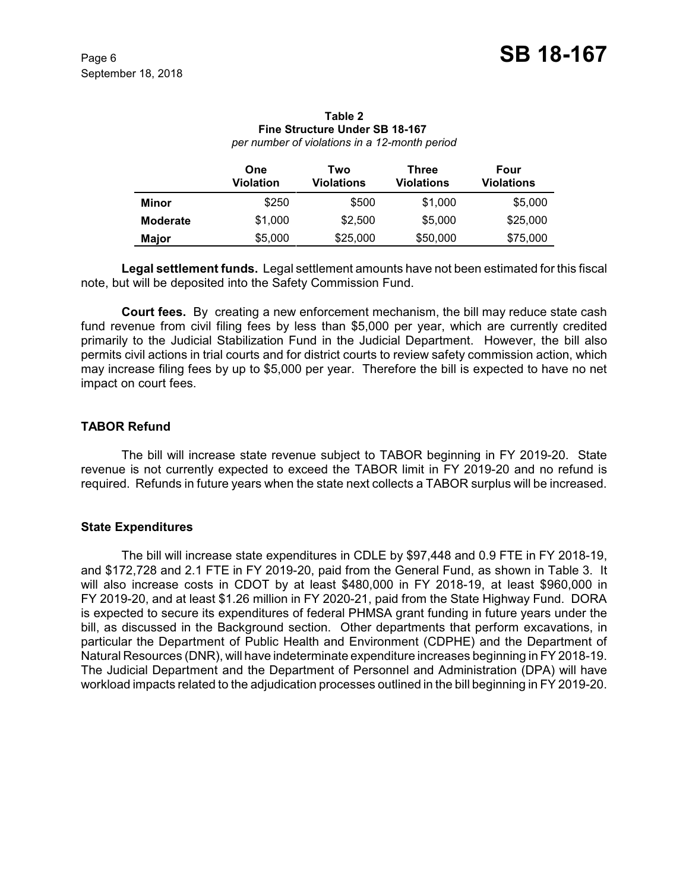|              | One<br>Violation | Two<br><b>Violations</b> | Three<br>Violations | Four<br>Violations |
|--------------|------------------|--------------------------|---------------------|--------------------|
| Minor        | \$250            | \$500                    | \$1,000             | \$5,000            |
| Moderate     | \$1,000          | \$2,500                  | \$5,000             | \$25,000           |
| <b>Major</b> | \$5,000          | \$25,000                 | \$50,000            | \$75,000           |

# **Table 2 Fine Structure Under SB 18-167**

*per number of violations in a 12-month period*

**Legal settlement funds.** Legal settlement amounts have not been estimated for this fiscal note, but will be deposited into the Safety Commission Fund.

**Court fees.** By creating a new enforcement mechanism, the bill may reduce state cash fund revenue from civil filing fees by less than \$5,000 per year, which are currently credited primarily to the Judicial Stabilization Fund in the Judicial Department. However, the bill also permits civil actions in trial courts and for district courts to review safety commission action, which may increase filing fees by up to \$5,000 per year. Therefore the bill is expected to have no net impact on court fees.

## **TABOR Refund**

The bill will increase state revenue subject to TABOR beginning in FY 2019-20. State revenue is not currently expected to exceed the TABOR limit in FY 2019-20 and no refund is required. Refunds in future years when the state next collects a TABOR surplus will be increased.

### **State Expenditures**

The bill will increase state expenditures in CDLE by \$97,448 and 0.9 FTE in FY 2018-19, and \$172,728 and 2.1 FTE in FY 2019-20, paid from the General Fund, as shown in Table 3. It will also increase costs in CDOT by at least \$480,000 in FY 2018-19, at least \$960,000 in FY 2019-20, and at least \$1.26 million in FY 2020-21, paid from the State Highway Fund. DORA is expected to secure its expenditures of federal PHMSA grant funding in future years under the bill, as discussed in the Background section. Other departments that perform excavations, in particular the Department of Public Health and Environment (CDPHE) and the Department of Natural Resources (DNR), will have indeterminate expenditure increases beginning in FY 2018-19. The Judicial Department and the Department of Personnel and Administration (DPA) will have workload impacts related to the adjudication processes outlined in the bill beginning in FY 2019-20.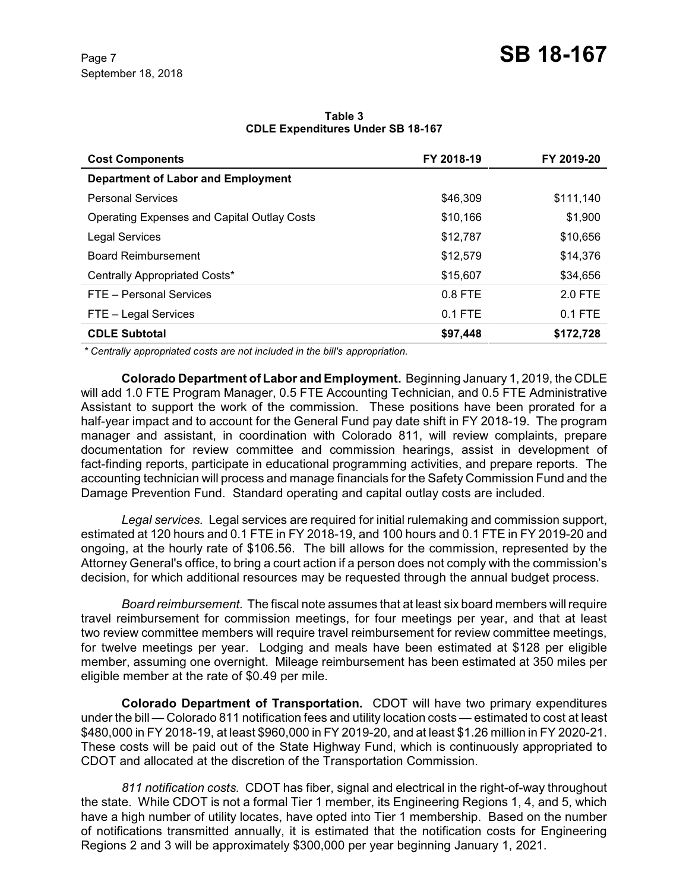| <b>Cost Components</b>                             | FY 2018-19 | FY 2019-20 |
|----------------------------------------------------|------------|------------|
| <b>Department of Labor and Employment</b>          |            |            |
| <b>Personal Services</b>                           | \$46,309   | \$111,140  |
| <b>Operating Expenses and Capital Outlay Costs</b> | \$10,166   | \$1,900    |
| <b>Legal Services</b>                              | \$12,787   | \$10,656   |
| <b>Board Reimbursement</b>                         | \$12,579   | \$14,376   |
| Centrally Appropriated Costs*                      | \$15,607   | \$34,656   |
| FTE - Personal Services                            | $0.8$ FTE  | 2.0 FTE    |
| FTE - Legal Services                               | $0.1$ FTE  | $0.1$ FTE  |
| <b>CDLE Subtotal</b>                               | \$97,448   | \$172,728  |

#### **Table 3 CDLE Expenditures Under SB 18-167**

 *\* Centrally appropriated costs are not included in the bill's appropriation.*

**Colorado Department of Labor and Employment.** Beginning January 1, 2019, the CDLE will add 1.0 FTE Program Manager, 0.5 FTE Accounting Technician, and 0.5 FTE Administrative Assistant to support the work of the commission. These positions have been prorated for a half-year impact and to account for the General Fund pay date shift in FY 2018-19. The program manager and assistant, in coordination with Colorado 811, will review complaints, prepare documentation for review committee and commission hearings, assist in development of fact-finding reports, participate in educational programming activities, and prepare reports. The accounting technician will process and manage financials for the Safety Commission Fund and the Damage Prevention Fund. Standard operating and capital outlay costs are included.

*Legal services.* Legal services are required for initial rulemaking and commission support, estimated at 120 hours and 0.1 FTE in FY 2018-19, and 100 hours and 0.1 FTE in FY 2019-20 and ongoing, at the hourly rate of \$106.56. The bill allows for the commission, represented by the Attorney General's office, to bring a court action if a person does not comply with the commission's decision, for which additional resources may be requested through the annual budget process.

*Board reimbursement.* The fiscal note assumes that at least six board members will require travel reimbursement for commission meetings, for four meetings per year, and that at least two review committee members will require travel reimbursement for review committee meetings, for twelve meetings per year. Lodging and meals have been estimated at \$128 per eligible member, assuming one overnight. Mileage reimbursement has been estimated at 350 miles per eligible member at the rate of \$0.49 per mile.

**Colorado Department of Transportation.** CDOT will have two primary expenditures under the bill — Colorado 811 notification fees and utility location costs — estimated to cost at least \$480,000 in FY 2018-19, at least \$960,000 in FY 2019-20, and at least \$1.26 million in FY 2020-21. These costs will be paid out of the State Highway Fund, which is continuously appropriated to CDOT and allocated at the discretion of the Transportation Commission.

*811 notification costs.* CDOT has fiber, signal and electrical in the right-of-way throughout the state. While CDOT is not a formal Tier 1 member, its Engineering Regions 1, 4, and 5, which have a high number of utility locates, have opted into Tier 1 membership. Based on the number of notifications transmitted annually, it is estimated that the notification costs for Engineering Regions 2 and 3 will be approximately \$300,000 per year beginning January 1, 2021.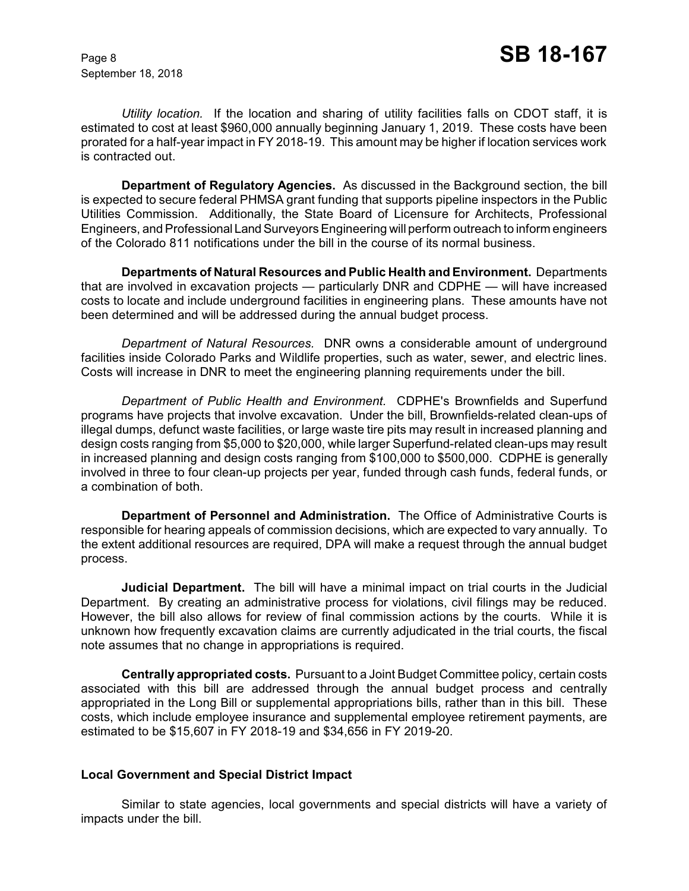*Utility location.* If the location and sharing of utility facilities falls on CDOT staff, it is estimated to cost at least \$960,000 annually beginning January 1, 2019. These costs have been prorated for a half-year impact in FY 2018-19. This amount may be higher if location services work is contracted out.

**Department of Regulatory Agencies.** As discussed in the Background section, the bill is expected to secure federal PHMSA grant funding that supports pipeline inspectors in the Public Utilities Commission. Additionally, the State Board of Licensure for Architects, Professional Engineers, and Professional LandSurveyors Engineering will perform outreach to inform engineers of the Colorado 811 notifications under the bill in the course of its normal business.

**Departments of Natural Resources and Public Health and Environment.** Departments that are involved in excavation projects — particularly DNR and CDPHE — will have increased costs to locate and include underground facilities in engineering plans. These amounts have not been determined and will be addressed during the annual budget process.

*Department of Natural Resources.* DNR owns a considerable amount of underground facilities inside Colorado Parks and Wildlife properties, such as water, sewer, and electric lines. Costs will increase in DNR to meet the engineering planning requirements under the bill.

*Department of Public Health and Environment.* CDPHE's Brownfields and Superfund programs have projects that involve excavation. Under the bill, Brownfields-related clean-ups of illegal dumps, defunct waste facilities, or large waste tire pits may result in increased planning and design costs ranging from \$5,000 to \$20,000, while larger Superfund-related clean-ups may result in increased planning and design costs ranging from \$100,000 to \$500,000. CDPHE is generally involved in three to four clean-up projects per year, funded through cash funds, federal funds, or a combination of both.

**Department of Personnel and Administration.** The Office of Administrative Courts is responsible for hearing appeals of commission decisions, which are expected to vary annually. To the extent additional resources are required, DPA will make a request through the annual budget process.

**Judicial Department.** The bill will have a minimal impact on trial courts in the Judicial Department. By creating an administrative process for violations, civil filings may be reduced. However, the bill also allows for review of final commission actions by the courts. While it is unknown how frequently excavation claims are currently adjudicated in the trial courts, the fiscal note assumes that no change in appropriations is required.

**Centrally appropriated costs.** Pursuant to a Joint Budget Committee policy, certain costs associated with this bill are addressed through the annual budget process and centrally appropriated in the Long Bill or supplemental appropriations bills, rather than in this bill. These costs, which include employee insurance and supplemental employee retirement payments, are estimated to be \$15,607 in FY 2018-19 and \$34,656 in FY 2019-20.

### **Local Government and Special District Impact**

Similar to state agencies, local governments and special districts will have a variety of impacts under the bill.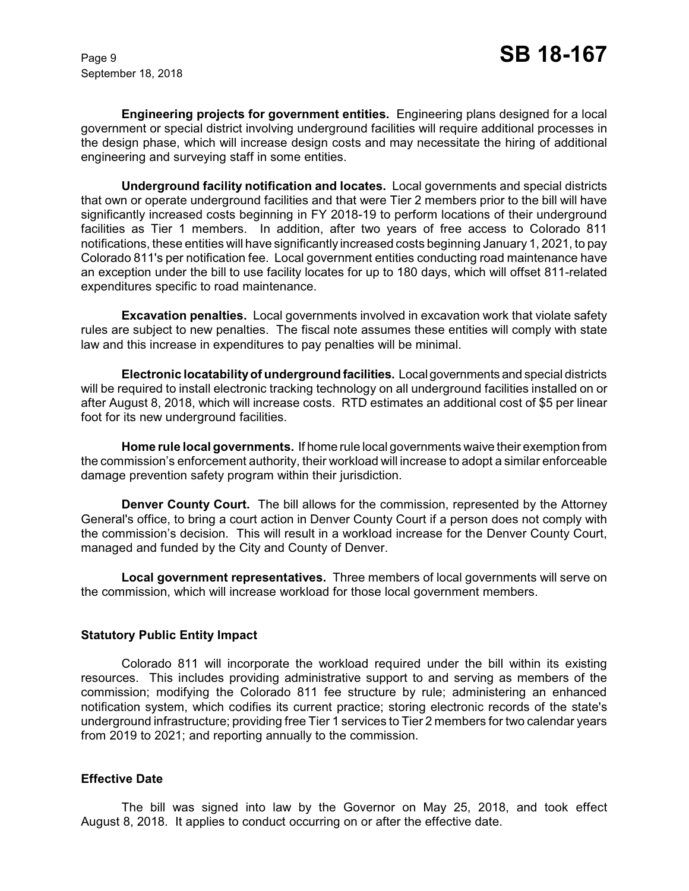**Engineering projects for government entities.** Engineering plans designed for a local government or special district involving underground facilities will require additional processes in the design phase, which will increase design costs and may necessitate the hiring of additional engineering and surveying staff in some entities.

**Underground facility notification and locates.** Local governments and special districts that own or operate underground facilities and that were Tier 2 members prior to the bill will have significantly increased costs beginning in FY 2018-19 to perform locations of their underground facilities as Tier 1 members. In addition, after two years of free access to Colorado 811 notifications, these entities will have significantly increased costs beginning January 1, 2021, to pay Colorado 811's per notification fee. Local government entities conducting road maintenance have an exception under the bill to use facility locates for up to 180 days, which will offset 811-related expenditures specific to road maintenance.

**Excavation penalties.** Local governments involved in excavation work that violate safety rules are subject to new penalties. The fiscal note assumes these entities will comply with state law and this increase in expenditures to pay penalties will be minimal.

**Electronic locatabilityof underground facilities.** Local governments and special districts will be required to install electronic tracking technology on all underground facilities installed on or after August 8, 2018, which will increase costs. RTD estimates an additional cost of \$5 per linear foot for its new underground facilities.

**Home rule local governments.** If home rule local governments waive their exemption from the commission's enforcement authority, their workload will increase to adopt a similar enforceable damage prevention safety program within their jurisdiction.

**Denver County Court.** The bill allows for the commission, represented by the Attorney General's office, to bring a court action in Denver County Court if a person does not comply with the commission's decision. This will result in a workload increase for the Denver County Court, managed and funded by the City and County of Denver.

**Local government representatives.** Three members of local governments will serve on the commission, which will increase workload for those local government members.

### **Statutory Public Entity Impact**

Colorado 811 will incorporate the workload required under the bill within its existing resources. This includes providing administrative support to and serving as members of the commission; modifying the Colorado 811 fee structure by rule; administering an enhanced notification system, which codifies its current practice; storing electronic records of the state's underground infrastructure; providing free Tier 1 services to Tier 2 members for two calendar years from 2019 to 2021; and reporting annually to the commission.

#### **Effective Date**

The bill was signed into law by the Governor on May 25, 2018, and took effect August 8, 2018. It applies to conduct occurring on or after the effective date.